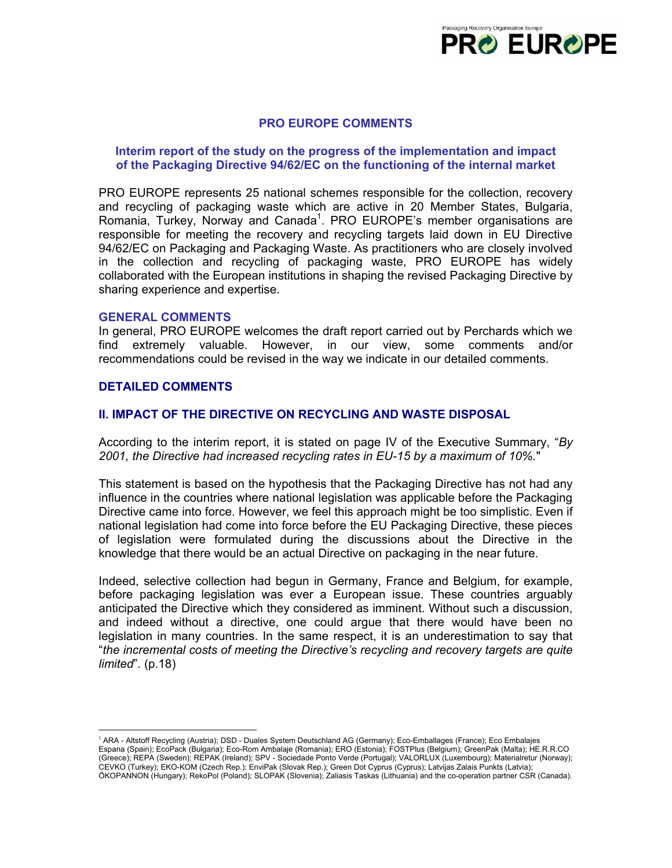

## **PRO EUROPE COMMENTS**

### **Interim report of the study on the progress of the implementation and impact of the Packaging Directive 94/62/EC on the functioning of the internal market**

PRO EUROPE represents 25 national schemes responsible for the collection, recovery and recycling of packaging waste which are active in 20 Member States, Bulgaria, Romania, Turkey, Norway and Canada<sup>[1](#page-0-0)</sup>. PRO EUROPE's member organisations are responsible for meeting the recovery and recycling targets laid down in EU Directive 94/62/EC on Packaging and Packaging Waste. As practitioners who are closely involved in the collection and recycling of packaging waste, PRO EUROPE has widely collaborated with the European institutions in shaping the revised Packaging Directive by sharing experience and expertise.

#### **GENERAL COMMENTS**

In general, PRO EUROPE welcomes the draft report carried out by Perchards which we find extremely valuable. However, in our view, some comments and/or recommendations could be revised in the way we indicate in our detailed comments.

### **DETAILED COMMENTS**

 $\overline{a}$ 

## **II. IMPACT OF THE DIRECTIVE ON RECYCLING AND WASTE DISPOSAL**

According to the interim report, it is stated on page IV of the Executive Summary, "*By 2001, the Directive had increased recycling rates in EU-15 by a maximum of 10%.*"

This statement is based on the hypothesis that the Packaging Directive has not had any influence in the countries where national legislation was applicable before the Packaging Directive came into force. However, we feel this approach might be too simplistic. Even if national legislation had come into force before the EU Packaging Directive, these pieces of legislation were formulated during the discussions about the Directive in the knowledge that there would be an actual Directive on packaging in the near future.

Indeed, selective collection had begun in Germany, France and Belgium, for example, before packaging legislation was ever a European issue. These countries arguably anticipated the Directive which they considered as imminent. Without such a discussion, and indeed without a directive, one could argue that there would have been no legislation in many countries. In the same respect, it is an underestimation to say that "*the incremental costs of meeting the Directive's recycling and recovery targets are quite limited*". (p.18)

<span id="page-0-0"></span><sup>&</sup>lt;sup>1</sup> ARA - Altstoff Recycling (Austria); DSD - Duales System Deutschland AG (Germany); Eco-Emballages (France); Eco Embalajes Espana (Spain); EcoPack (Bulgaria); Eco-Rom Ambalaje (Romania); ERO (Estonia); FOSTPlus (Belgium); GreenPak (Malta); HE.R.R.CO (Greece); REPA (Sweden); REPAK (Ireland); SPV - Sociedade Ponto Verde (Portugal); VALORLUX (Luxembourg); Materialretur (Norway); CEVKO (Turkey); EKO-KOM (Czech Rep.); EnviPak (Slovak Rep.); Green Dot Cyprus (Cyprus); Latvijas Zalais Punkts (Latvia); ÖKOPANNON (Hungary); RekoPol (Poland); SLOPAK (Slovenia); Zaliasis Taskas (Lithuania) and the co-operation partner CSR (Canada).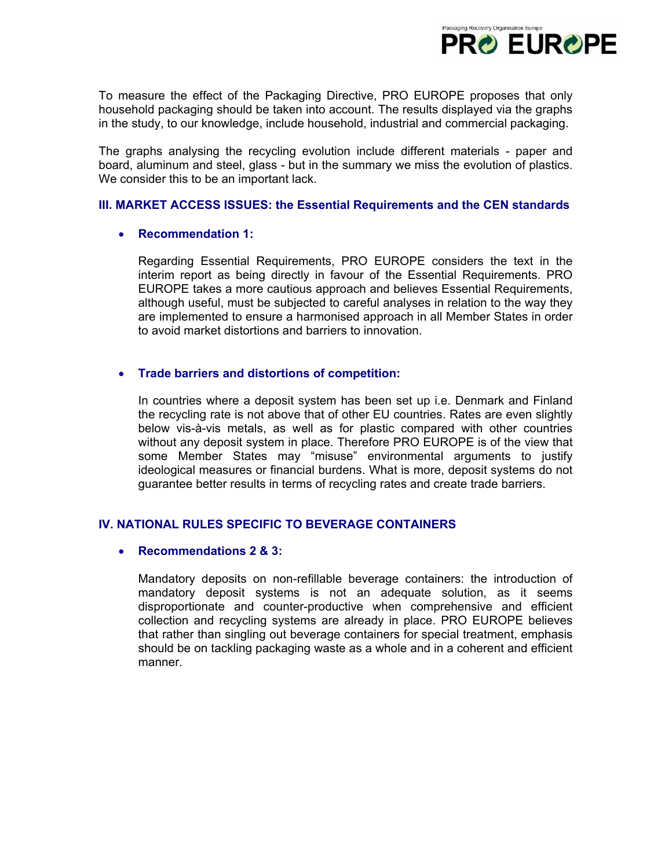

To measure the effect of the Packaging Directive, PRO EUROPE proposes that only household packaging should be taken into account. The results displayed via the graphs in the study, to our knowledge, include household, industrial and commercial packaging.

The graphs analysing the recycling evolution include different materials - paper and board, aluminum and steel, glass - but in the summary we miss the evolution of plastics. We consider this to be an important lack.

## **III. MARKET ACCESS ISSUES: the Essential Requirements and the CEN standards**

## • **Recommendation 1:**

Regarding Essential Requirements, PRO EUROPE considers the text in the interim report as being directly in favour of the Essential Requirements. PRO EUROPE takes a more cautious approach and believes Essential Requirements, although useful, must be subjected to careful analyses in relation to the way they are implemented to ensure a harmonised approach in all Member States in order to avoid market distortions and barriers to innovation.

# • **Trade barriers and distortions of competition:**

In countries where a deposit system has been set up i.e. Denmark and Finland the recycling rate is not above that of other EU countries. Rates are even slightly below vis-à-vis metals, as well as for plastic compared with other countries without any deposit system in place. Therefore PRO EUROPE is of the view that some Member States may "misuse" environmental arguments to justify ideological measures or financial burdens. What is more, deposit systems do not guarantee better results in terms of recycling rates and create trade barriers.

# **IV. NATIONAL RULES SPECIFIC TO BEVERAGE CONTAINERS**

## • **Recommendations 2 & 3:**

Mandatory deposits on non-refillable beverage containers: the introduction of mandatory deposit systems is not an adequate solution, as it seems disproportionate and counter-productive when comprehensive and efficient collection and recycling systems are already in place. PRO EUROPE believes that rather than singling out beverage containers for special treatment, emphasis should be on tackling packaging waste as a whole and in a coherent and efficient manner.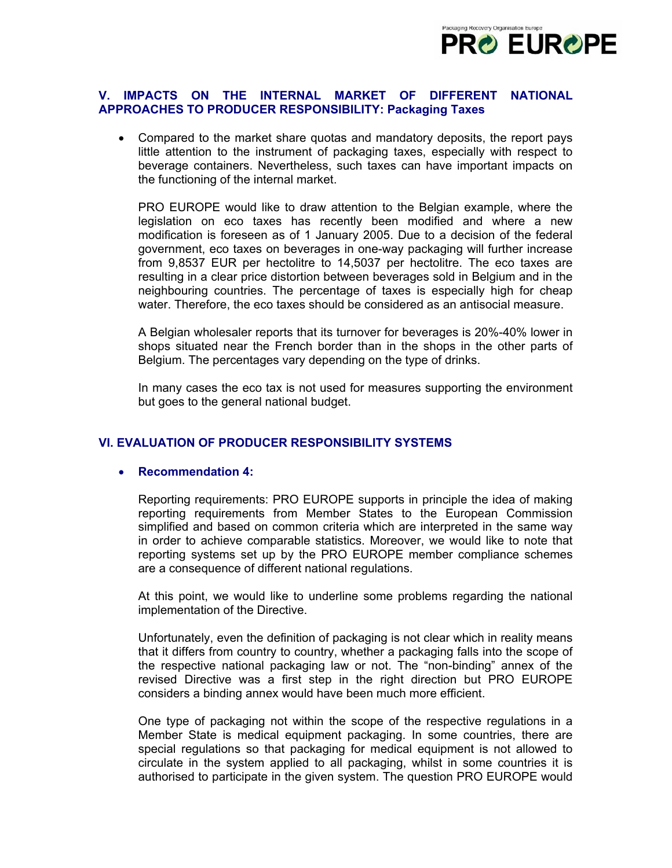

### **V. IMPACTS ON THE INTERNAL MARKET OF DIFFERENT NATIONAL APPROACHES TO PRODUCER RESPONSIBILITY: Packaging Taxes**

• Compared to the market share quotas and mandatory deposits, the report pays little attention to the instrument of packaging taxes, especially with respect to beverage containers. Nevertheless, such taxes can have important impacts on the functioning of the internal market.

PRO EUROPE would like to draw attention to the Belgian example, where the legislation on eco taxes has recently been modified and where a new modification is foreseen as of 1 January 2005. Due to a decision of the federal government, eco taxes on beverages in one-way packaging will further increase from 9,8537 EUR per hectolitre to 14,5037 per hectolitre. The eco taxes are resulting in a clear price distortion between beverages sold in Belgium and in the neighbouring countries. The percentage of taxes is especially high for cheap water. Therefore, the eco taxes should be considered as an antisocial measure.

A Belgian wholesaler reports that its turnover for beverages is 20%-40% lower in shops situated near the French border than in the shops in the other parts of Belgium. The percentages vary depending on the type of drinks.

In many cases the eco tax is not used for measures supporting the environment but goes to the general national budget.

## **VI. EVALUATION OF PRODUCER RESPONSIBILITY SYSTEMS**

#### • **Recommendation 4:**

Reporting requirements: PRO EUROPE supports in principle the idea of making reporting requirements from Member States to the European Commission simplified and based on common criteria which are interpreted in the same way in order to achieve comparable statistics. Moreover, we would like to note that reporting systems set up by the PRO EUROPE member compliance schemes are a consequence of different national regulations.

At this point, we would like to underline some problems regarding the national implementation of the Directive.

Unfortunately, even the definition of packaging is not clear which in reality means that it differs from country to country, whether a packaging falls into the scope of the respective national packaging law or not. The "non-binding" annex of the revised Directive was a first step in the right direction but PRO EUROPE considers a binding annex would have been much more efficient.

One type of packaging not within the scope of the respective regulations in a Member State is medical equipment packaging. In some countries, there are special regulations so that packaging for medical equipment is not allowed to circulate in the system applied to all packaging, whilst in some countries it is authorised to participate in the given system. The question PRO EUROPE would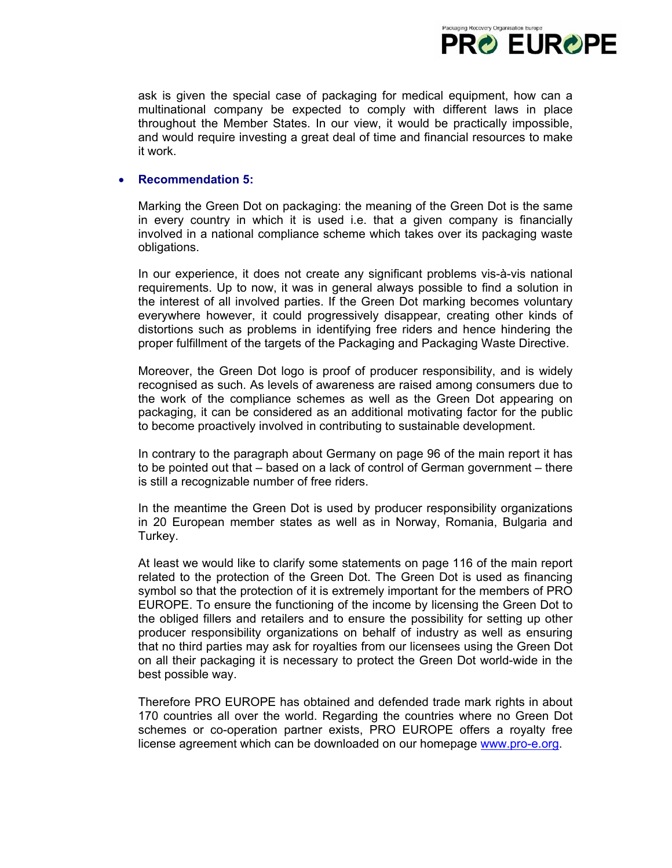

ask is given the special case of packaging for medical equipment, how can a multinational company be expected to comply with different laws in place throughout the Member States. In our view, it would be practically impossible, and would require investing a great deal of time and financial resources to make it work.

## • **Recommendation 5:**

Marking the Green Dot on packaging: the meaning of the Green Dot is the same in every country in which it is used i.e. that a given company is financially involved in a national compliance scheme which takes over its packaging waste obligations.

In our experience, it does not create any significant problems vis-à-vis national requirements. Up to now, it was in general always possible to find a solution in the interest of all involved parties. If the Green Dot marking becomes voluntary everywhere however, it could progressively disappear, creating other kinds of distortions such as problems in identifying free riders and hence hindering the proper fulfillment of the targets of the Packaging and Packaging Waste Directive.

Moreover, the Green Dot logo is proof of producer responsibility, and is widely recognised as such. As levels of awareness are raised among consumers due to the work of the compliance schemes as well as the Green Dot appearing on packaging, it can be considered as an additional motivating factor for the public to become proactively involved in contributing to sustainable development.

In contrary to the paragraph about Germany on page 96 of the main report it has to be pointed out that – based on a lack of control of German government – there is still a recognizable number of free riders.

In the meantime the Green Dot is used by producer responsibility organizations in 20 European member states as well as in Norway, Romania, Bulgaria and Turkey.

At least we would like to clarify some statements on page 116 of the main report related to the protection of the Green Dot. The Green Dot is used as financing symbol so that the protection of it is extremely important for the members of PRO EUROPE. To ensure the functioning of the income by licensing the Green Dot to the obliged fillers and retailers and to ensure the possibility for setting up other producer responsibility organizations on behalf of industry as well as ensuring that no third parties may ask for royalties from our licensees using the Green Dot on all their packaging it is necessary to protect the Green Dot world-wide in the best possible way.

Therefore PRO EUROPE has obtained and defended trade mark rights in about 170 countries all over the world. Regarding the countries where no Green Dot schemes or co-operation partner exists, PRO EUROPE offers a royalty free license agreement which can be downloaded on our homepage [www.pro-e.org](http://www.pro-e.org/).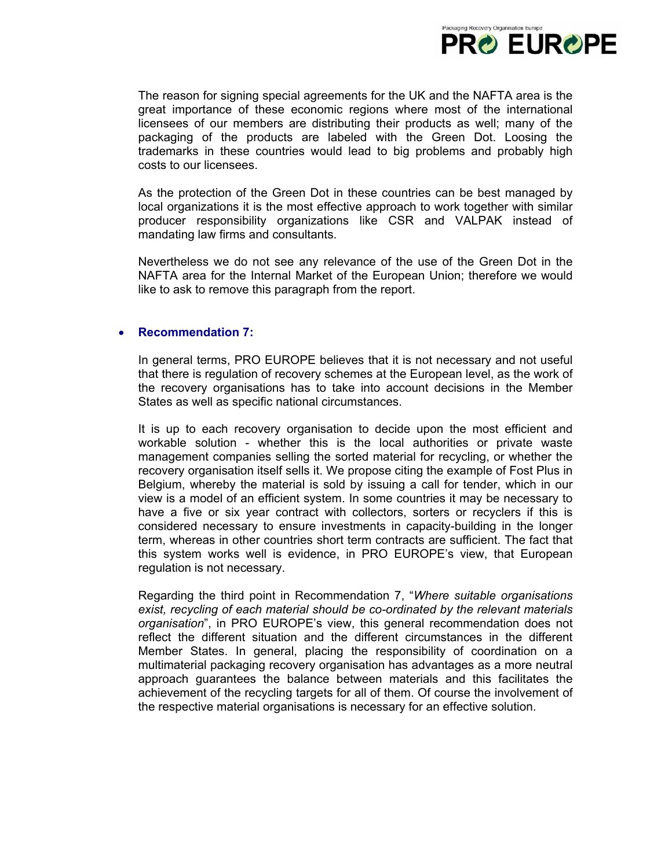

The reason for signing special agreements for the UK and the NAFTA area is the great importance of these economic regions where most of the international licensees of our members are distributing their products as well; many of the packaging of the products are labeled with the Green Dot. Loosing the trademarks in these countries would lead to big problems and probably high costs to our licensees.

As the protection of the Green Dot in these countries can be best managed by local organizations it is the most effective approach to work together with similar producer responsibility organizations like CSR and VALPAK instead of mandating law firms and consultants.

Nevertheless we do not see any relevance of the use of the Green Dot in the NAFTA area for the Internal Market of the European Union; therefore we would like to ask to remove this paragraph from the report.

### • **Recommendation 7:**

In general terms, PRO EUROPE believes that it is not necessary and not useful that there is regulation of recovery schemes at the European level, as the work of the recovery organisations has to take into account decisions in the Member States as well as specific national circumstances.

It is up to each recovery organisation to decide upon the most efficient and workable solution - whether this is the local authorities or private waste management companies selling the sorted material for recycling, or whether the recovery organisation itself sells it. We propose citing the example of Fost Plus in Belgium, whereby the material is sold by issuing a call for tender, which in our view is a model of an efficient system. In some countries it may be necessary to have a five or six year contract with collectors, sorters or recyclers if this is considered necessary to ensure investments in capacity-building in the longer term, whereas in other countries short term contracts are sufficient. The fact that this system works well is evidence, in PRO EUROPE's view, that European regulation is not necessary.

Regarding the third point in Recommendation 7, "*Where suitable organisations exist, recycling of each material should be co-ordinated by the relevant materials organisation*", in PRO EUROPE's view, this general recommendation does not reflect the different situation and the different circumstances in the different Member States. In general, placing the responsibility of coordination on a multimaterial packaging recovery organisation has advantages as a more neutral approach guarantees the balance between materials and this facilitates the achievement of the recycling targets for all of them. Of course the involvement of the respective material organisations is necessary for an effective solution.